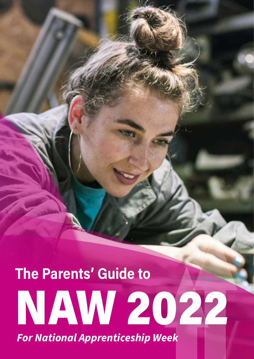## **The Parents' Guide to**  NAW 2022 *For National Apprenticeship Week*

**www.theparentsguideto.co.uk | 1**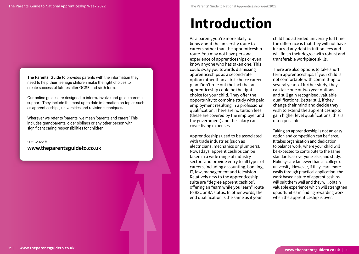As a parent, you're more likely to know about the university route to careers rather than the apprenticeship route. You may not have personal experience of apprenticeships or even know anyone who has taken one. This could sway you towards dismissing apprenticeships as a second-rate option rather than a first choice career plan. Don't rule out the fact that an apprenticeship could be the right choice for your child. They offer the opportunity to combine study with paid employment resulting in a professional qualification. There are no tuition fees (these are covered by the employer and the government) and the salary can cover living expenses.

Apprenticeships used to be associated with trade industries (such as electricians, mechanics or plumbers). Nowadays, apprenticeships can be taken in a wide range of industry sectors and provide entry to all types of careers, including accounting, banking, IT, law, management and television. Relatively new to the apprenticeship suite are "degree apprenticeships", offering an "earn while you learn" route to BSc or BA status. In other words, the end qualification is the same as if your

child had attended university full time, the difference is that they will not have incurred any debt in tuition fees and will finish their degree with robust and transferable workplace skills.

There are also options to take short term apprenticeships. If your child is not comfortable with committing to several years of further study, they can take one or two year options and still gain recognised, valuable qualifications. Better still, if they change their mind and decide they wish to extend the apprenticeship to gain higher level qualifications, this is often possible.

Taking an apprenticeship is not an easy option and competition can be fierce. It takes organisation and dedication to balance work, where your child will be expected to contribute to the same standards as everyone else, and study. Holidays are far fewer than at college or university. However, if they learn more easily through practical application, the work based nature of apprenticeships will suit them well and they will obtain valuable experience which will strengthen opportunities in finding rewarding work when the apprenticeship is over.

## **Introduction**

**The Parents' Guide to** provides parents with the information they need to help their teenage children make the right choices to create successful futures after GCSE and sixth form.

Our online guides are designed to inform, involve and guide parental support. They include the most up to date information on topics such as apprenticeships, universities and revision techniques.

Wherever we refer to 'parents' we mean 'parents and carers.' This includes grandparents, older siblings or any other person with significant caring responsibilities for children.

2021-2022 © **www.theparentsguideto.co.uk**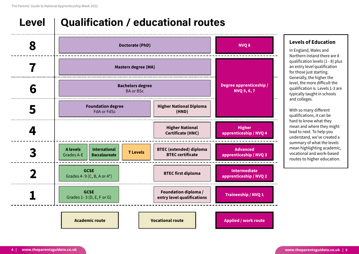#### **Levels of Education**

In England, Wales and Northern Ireland there are 8 qualification levels (1 - 8) plus an entry level qualification for those just starting. Generally, the higher the level, the more difficult the qualification is. Levels 1-3 are typically taught in schools and colleges.

With so many different qualifications, it can be hard to know what they mean and where they might lead to next. To help you understand, we've created a summary of what the levels mean highlighting academic, vocational and work-based routes to higher education.



### **Level Qualification / educational routes**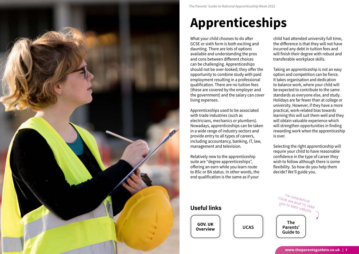

## **Apprenticeships**

What your child chooses to do after GCSE or sixth form is both exciting and daunting. There are lots of options available and understanding the pros and cons between different choices can be challenging. Apprenticeships should not be over-looked; they offer the opportunity to combine study with paid employment resulting in a professional qualification. There are no tuition fees (these are covered by the employer and the government) and the salary can cover living expenses.

Apprenticeships used to be associated with trade industries (such as electricians, mechanics or plumbers). Nowadays, apprenticeships can be taken in a wide range of industry sectors and provide entry to all types of careers, including accountancy, banking, IT, law, management and television.

Relatively new to the apprenticeship suite are "degree apprenticeships", offering an earn while you learn route to BSc or BA status. In other words, the end qualification is the same as if your

child had attended university full time, the difference is that they will not have incurred any debt in tuition fees and will finish their degree with robust and transferable workplace skills.

Taking an apprenticeship is not an easy option and competition can be fierce. It takes organisation and dedication to balance work, where your child will be expected to contribute to the same standards as everyone else, and study. Holidays are far fewer than at college or university. However, if they have a more practical, work-related bias towards learning this will suit them well and they will obtain valuable experience which will strengthen opportunities in finding rewarding work when the apprenticeship is over.

Selecting the right apprenticeship will require your child to have reasonable confidence in the type of career they wish to follow although there is some flexibility. So how do you help them decide? We'll guide you.

### **Useful links**

**GOV. UK [Overview](https://www.gov.uk/become-apprentice)**

I'm interactive! Click me and I'll take you to their website

**[UCAS](https://www.ucas.com/understanding-apprenticeships)**

**The [Parents'](https://www.theparentsguideto.co.uk/product-page/the-parents-guide-to-apprenticeships)  Guide to**

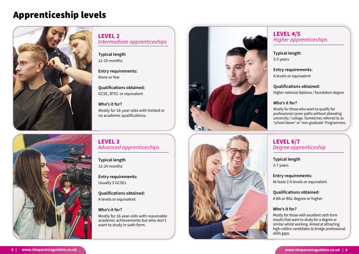### Apprenticeship levels



**Typical length** 12-18 months

**Entry requirements:** None or few

**Qualifications obtained:** GCSE, BTEC or equivalent

**Who's it for?** Mostly for 16-year-olds with limited or no academic qualifications.

**Typical length** 12-24 months

**Entry requirements:** Usually 5 GCSEs

**Qualifications obtained:** A levels or equivalent

#### **Who's it for?**

Mostly for 16-year-olds with reasonable academic achievements but who don't want to study in sixth form.







**LEVEL 2**  *Intermediate apprenticeships*

### **LEVEL 3** *Advanced apprenticeships*

### **Typical length**

3-5 years

#### **Entry requirements:**

A levels or equivalent

#### **Qualifications obtained:**

Higher national diploma / foundation degree

#### **Who's it for?**

Mostly for those who want to qualify for professional career paths without attending university / college. Sometimes referred to as 'school leaver' or 'non-graduate' Programmes.

### **Typical length**

3-7 years

#### **Entry requirements:**

At least 2 A levels or equivalent

#### **Qualifications obtained:**

A BA or BSc degree or higher

#### **Who's it for?**

Mostly for those with excellent sixth form results that want to study for a degree or similar whilst working. Aimed at attracting high-calibre candidates to bridge professional skills gaps.

### **LEVEL 4/5** *Higher apprenticeships*

### **LEVEL 6/7** *Degree apprenticeship*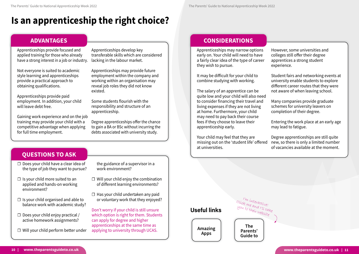### **Is an apprenticeship the right choice?**

Apprenticeships provide focused and applied training for those who already have a strong interest in a job or industry.

Not everyone is suited to academic style learning and apprenticeships provide a practical approach to obtaining qualifications.

Apprenticeships provide paid employment. In addition, your child will leave debt free.

Gaining work experience and on the job training may provide your child with a competitive advantage when applying for full time employment.

Apprenticeships develop key transferable skills which are considered lacking in the labour market.

Apprenticeships may provide future employment within the company and working within an organisation may reveal job roles they did not know existed.

- $\Box$  Will your child enjoy the combination of different learning environments?
- $\Box$  Has your child undertaken any paid or voluntary work that they enjoyed?

Some students flourish with the responsibility and structure of an apprenticeship.

Degree apprenticeships offer the chance to gain a BA or BSc without incurring the debts associated with university study.

### **ADVANTAGES**

**Useful links**

I'm interactive! Click me and I'll take you to their website

**[Amazing](https://amazingapprenticeships.com/)  Apps**

**The [Parents'](https://www.theparentsguideto.co.uk/tips/categories/apprenticeships)  Guide to**

- ☐ Does your child have a clear idea of the type of job they want to pursue?
- $\Box$  Is your child more suited to an applied and hands-on working environment?
- $\Box$  Is your child organised and able to balance work with academic study?
- $\Box$  Does your child enjoy practical / active homework assignments?
- ☐ Will your child perform better under

the guidance of a supervisor in a work environment?

Don't worry if your child is still unsure which option is right for them. Students can apply for degree and higher apprenticeships at the same time as applying to university through UCAS.

### **QUESTIONS TO ASK**

Apprenticeships may narrow options early on. Your child will need to have a fairly clear idea of the type of career they wish to pursue.

It may be difficult for your child to combine studying with working.

The salary of an apprentice can be quite low and your child will also need to consider financing their travel and living expenses if they are not living at home. Furthermore, your child may need to pay back their course fees if they choose to leave their apprenticeship early.

However, some universities and colleges still offer their degree apprentices a strong student experience.

Student fairs and networking events at university enable students to explore different career routes that they were not aware of when leaving school.

Your child may feel that they are missing out on the 'student life' offered at universities. Degree apprenticeships are still quite new, so there is only a limited number of vacancies available at the moment.

Many companies provide graduate schemes for university leavers on completion of their degree.

Entering the work place at an early age may lead to fatigue.

### **CONSIDERATIONS**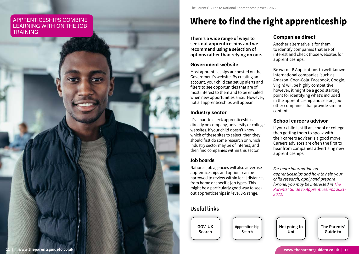### **Where to find the right apprenticeship**

**There's a wide range of ways to seek out apprenticeships and we recommend using a selection of options rather than relying on one.** 

#### **Government website**

Most apprenticeships are posted on the Government's website. By creating an account, your child can set up alerts and filters to see opportunities that are of most interest to them and to be emailed when new opportunities arise. However, not all apprenticeships will appear.

#### **Industry sector**

It's smart to check apprenticeships directly on company, university or college websites. If your child doesn't know which of these sites to select, then they should first do some research on which industry sector may be of interest, and then find companies within this sector.

### **Job boards**

National job agencies will also advertise apprenticeships and options can be narrowed to review within local distances from home or specific job types. This might be a particularly good way to seek out apprenticeships in level 3-5 range.

### **Companies direct**

Another alternative is for them to identify companies that are of interest and check those websites for apprenticeships.

Be warned! Applications to well-known international companies (such as Amazon, Coca-Cola, Facebook, Google, Virgin) will be highly competitive; however, it might be a good starting point for identifying what's included in the apprenticeship and seeking out other companies that provide similar content.

### **School careers advisor**

If your child is still at school or college, then getting them to speak with their careers adviser is a good move. Careers advisors are often the first to hear from companies advertising new apprenticeships

*For more information on apprenticeships and how to help your child research, apply and prepare for one, you may be interested in [The](https://www.theparentsguideto.co.uk/product-page/the-parents-guide-to-apprenticeships)  [Parents' Guide to Apprenticeships 2021-](https://www.theparentsguideto.co.uk/product-page/the-parents-guide-to-apprenticeships) [2022.](https://www.theparentsguideto.co.uk/product-page/the-parents-guide-to-apprenticeships)*

### **Useful links**

**[GOV. UK](https://www.gov.uk/apply-apprenticeship) Search**

**[Apprenticeship](http://www.apprenticeshipguide.co.uk/vacancies/) Search**

**[Not going to](https://www.notgoingtouni.co.uk/apprenticeships-223)  Uni**

**[The Parents'](https://www.theparentsguideto.co.uk/product-page/the-parents-guide-to-apprenticeships)  Guide to**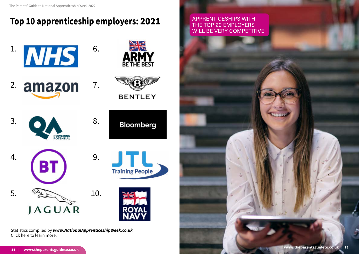### **Top 10 apprenticeship employers:** 2021

Statistics compiled by *[www.NationalApprenticeshipWeek.co.uk](https://www.nationalapprenticeshipweek.co.uk/top-20-apprenticeship-employers/)*  Click here to learn more.



APPRENTICESHIPS WITH THE TOP 20 EMPLOYERS WILL BE VERY COMPETITIVE



**www.theparentsguideto.co.uk | 15**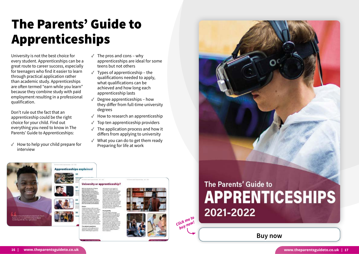University is not the best choice for every student. Apprenticeships can be a great route to career success, especially for teenagers who find it easier to learn through practical application rather than academic study. Apprenticeships are often termed "earn while you learn" because they combine study with paid employment resulting in a professional qualification.

 $\sqrt{ }$  How to help your child prepare for interview

Don't rule out the fact that an apprenticeship could be the right choice for your child. Find out everything you need to know in The Parents' Guide to Apprenticeships:

- $\sqrt{ }$  The pros and cons why apprenticeships are ideal for some teens but not others
- $\sqrt{ }$  Types of apprenticeship the qualifications needed to apply, what qualifications can be achieved and how long each apprenticeship lasts
- $\sqrt{\phantom{a}}$  Degree apprenticeships how they differ from full-time university degrees
- $\sqrt{\phantom{a}}$  How to research an apprenticeship
- $\sqrt{ }$  Top ten apprenticeship providers
- $\sqrt{\ }$  The application process and how it differs from applying to university
- ✓ What you can do to get them ready Preparing for life at work

**[Buy now](https://www.theparentsguideto.co.uk/product-page/the-parents-guide-to-apprenticeships)**



### The Parents' Guide to Apprenticeships





### The Parents' Guide to **APPRENTICESHIPS** 2021-2022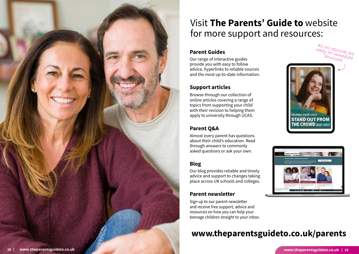### **Parent Guides**

Our range of interactive guides provide you with easy to follow advice, hyperlinks to reliable sources and the most up-to-date information.

### **Support articles**

Browse through our collection of online articles covering a range of topics from supporting your child with their revision to helping them apply to university through UCAS.

### **Parent Q&A**



Almost every parent has questions about their child's education. Read through answers to commonly asked questions or ask your own.

### **Blog**

Our blog provides reliable and timely advice and support to changes taking place across UK schools and colleges.

### **Parent newsletter**

Sign up to our parent newsletter and receive free support, advice and resources on how you can help your teenage children straight to your inbox.

### Visit **The Parents' Guide to** website for more support and resources:

### **www.theparentsguideto.co.uk/parents**



All our resources are<br>eady for imme sare